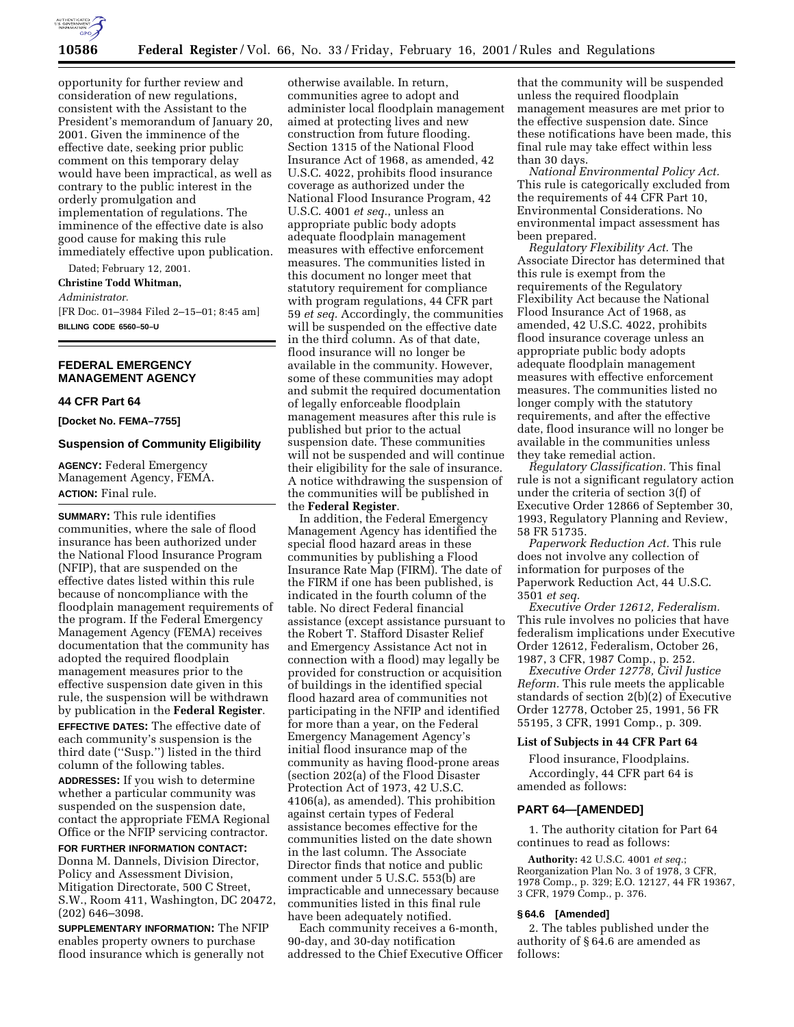

opportunity for further review and consideration of new regulations, consistent with the Assistant to the President's memorandum of January 20, 2001. Given the imminence of the effective date, seeking prior public comment on this temporary delay would have been impractical, as well as contrary to the public interest in the orderly promulgation and implementation of regulations. The imminence of the effective date is also good cause for making this rule immediately effective upon publication.

Dated; February 12, 2001. **Christine Todd Whitman,** *Administrator.* [FR Doc. 01–3984 Filed 2–15–01; 8:45 am] **BILLING CODE 6560–50–U**

## **FEDERAL EMERGENCY MANAGEMENT AGENCY**

#### **44 CFR Part 64**

**[Docket No. FEMA–7755]**

#### **Suspension of Community Eligibility**

**AGENCY:** Federal Emergency Management Agency, FEMA. **ACTION:** Final rule.

**SUMMARY:** This rule identifies communities, where the sale of flood insurance has been authorized under the National Flood Insurance Program (NFIP), that are suspended on the effective dates listed within this rule because of noncompliance with the floodplain management requirements of the program. If the Federal Emergency Management Agency (FEMA) receives documentation that the community has adopted the required floodplain management measures prior to the effective suspension date given in this rule, the suspension will be withdrawn by publication in the **Federal Register**. **EFFECTIVE DATES:** The effective date of each community's suspension is the third date (''Susp.'') listed in the third

**ADDRESSES:** If you wish to determine whether a particular community was suspended on the suspension date, contact the appropriate FEMA Regional Office or the NFIP servicing contractor.

column of the following tables.

**FOR FURTHER INFORMATION CONTACT:** Donna M. Dannels, Division Director, Policy and Assessment Division, Mitigation Directorate, 500 C Street, S.W., Room 411, Washington, DC 20472, (202) 646–3098.

**SUPPLEMENTARY INFORMATION:** The NFIP enables property owners to purchase flood insurance which is generally not

otherwise available. In return, communities agree to adopt and administer local floodplain management aimed at protecting lives and new construction from future flooding. Section 1315 of the National Flood Insurance Act of 1968, as amended, 42 U.S.C. 4022, prohibits flood insurance coverage as authorized under the National Flood Insurance Program, 42 U.S.C. 4001 *et seq.*, unless an appropriate public body adopts adequate floodplain management measures with effective enforcement measures. The communities listed in this document no longer meet that statutory requirement for compliance with program regulations, 44 CFR part 59 *et seq.* Accordingly, the communities will be suspended on the effective date in the third column. As of that date, flood insurance will no longer be available in the community. However, some of these communities may adopt and submit the required documentation of legally enforceable floodplain management measures after this rule is published but prior to the actual suspension date. These communities will not be suspended and will continue their eligibility for the sale of insurance. A notice withdrawing the suspension of the communities will be published in the **Federal Register**.

In addition, the Federal Emergency Management Agency has identified the special flood hazard areas in these communities by publishing a Flood Insurance Rate Map (FIRM). The date of the FIRM if one has been published, is indicated in the fourth column of the table. No direct Federal financial assistance (except assistance pursuant to the Robert T. Stafford Disaster Relief and Emergency Assistance Act not in connection with a flood) may legally be provided for construction or acquisition of buildings in the identified special flood hazard area of communities not participating in the NFIP and identified for more than a year, on the Federal Emergency Management Agency's initial flood insurance map of the community as having flood-prone areas (section 202(a) of the Flood Disaster Protection Act of 1973, 42 U.S.C. 4106(a), as amended). This prohibition against certain types of Federal assistance becomes effective for the communities listed on the date shown in the last column. The Associate Director finds that notice and public comment under 5 U.S.C. 553(b) are impracticable and unnecessary because communities listed in this final rule have been adequately notified.

Each community receives a 6-month, 90-day, and 30-day notification addressed to the Chief Executive Officer

that the community will be suspended unless the required floodplain management measures are met prior to the effective suspension date. Since these notifications have been made, this final rule may take effect within less than 30 days.

*National Environmental Policy Act.* This rule is categorically excluded from the requirements of 44 CFR Part 10, Environmental Considerations. No environmental impact assessment has been prepared.

*Regulatory Flexibility Act.* The Associate Director has determined that this rule is exempt from the requirements of the Regulatory Flexibility Act because the National Flood Insurance Act of 1968, as amended, 42 U.S.C. 4022, prohibits flood insurance coverage unless an appropriate public body adopts adequate floodplain management measures with effective enforcement measures. The communities listed no longer comply with the statutory requirements, and after the effective date, flood insurance will no longer be available in the communities unless they take remedial action.

*Regulatory Classification.* This final rule is not a significant regulatory action under the criteria of section 3(f) of Executive Order 12866 of September 30, 1993, Regulatory Planning and Review, 58 FR 51735.

*Paperwork Reduction Act.* This rule does not involve any collection of information for purposes of the Paperwork Reduction Act, 44 U.S.C. 3501 *et seq.*

*Executive Order 12612, Federalism.* This rule involves no policies that have federalism implications under Executive Order 12612, Federalism, October 26, 1987, 3 CFR, 1987 Comp., p. 252.

*Executive Order 12778, Civil Justice Reform.* This rule meets the applicable standards of section 2(b)(2) of Executive Order 12778, October 25, 1991, 56 FR 55195, 3 CFR, 1991 Comp., p. 309.

## **List of Subjects in 44 CFR Part 64**

Flood insurance, Floodplains. Accordingly, 44 CFR part 64 is amended as follows:

### **PART 64—[AMENDED]**

1. The authority citation for Part 64 continues to read as follows:

**Authority:** 42 U.S.C. 4001 *et seq.*; Reorganization Plan No. 3 of 1978, 3 CFR, 1978 Comp., p. 329; E.O. 12127, 44 FR 19367, 3 CFR, 1979 Comp., p. 376.

#### **§ 64.6 [Amended]**

2. The tables published under the authority of § 64.6 are amended as follows: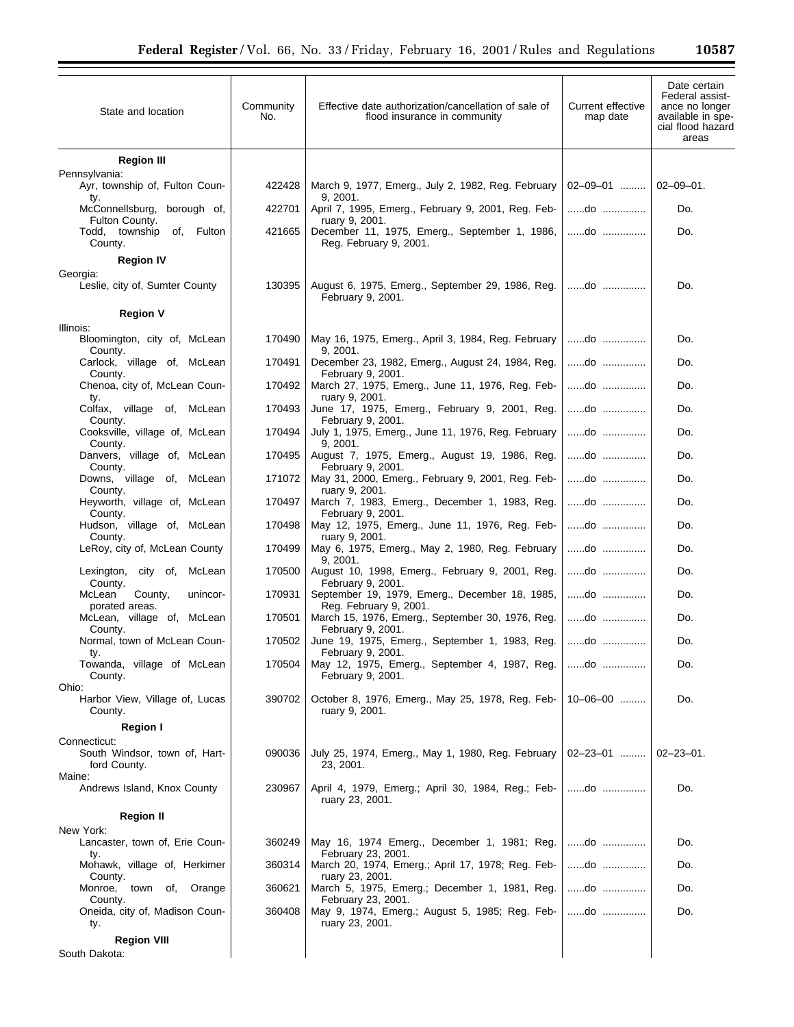| State and location                                        | Community<br>No. | Effective date authorization/cancellation of sale of<br>flood insurance in community       | Current effective<br>map date | Date certain<br>Federal assist-<br>ance no longer<br>available in spe-<br>cial flood hazard<br>areas |
|-----------------------------------------------------------|------------------|--------------------------------------------------------------------------------------------|-------------------------------|------------------------------------------------------------------------------------------------------|
| <b>Region III</b>                                         |                  |                                                                                            |                               |                                                                                                      |
| Pennsylvania:<br>Ayr, township of, Fulton Coun-<br>ty.    | 422428           | March 9, 1977, Emerg., July 2, 1982, Reg. February<br>9, 2001.                             | $02-09-01$                    | $02 - 09 - 01$ .                                                                                     |
| borough of,<br>McConnellsburg,                            | 422701           | April 7, 1995, Emerg., February 9, 2001, Reg. Feb-                                         | do                            | Do.                                                                                                  |
| Fulton County.<br>Todd, township<br>of, Fulton<br>County. | 421665           | ruary 9, 2001.<br>December 11, 1975, Emerg., September 1, 1986,<br>Reg. February 9, 2001.  | do                            | Do.                                                                                                  |
| <b>Region IV</b><br>Georgia:                              |                  |                                                                                            |                               |                                                                                                      |
| Leslie, city of, Sumter County                            | 130395           | August 6, 1975, Emerg., September 29, 1986, Reg.<br>February 9, 2001.                      | do                            | Do.                                                                                                  |
| <b>Region V</b>                                           |                  |                                                                                            |                               |                                                                                                      |
| Illinois:<br>Bloomington, city of, McLean<br>County.      | 170490           | May 16, 1975, Emerg., April 3, 1984, Reg. February<br>9, 2001.                             | do                            | Do.                                                                                                  |
| Carlock, village of, McLean<br>County.                    | 170491           | December 23, 1982, Emerg., August 24, 1984, Reg.<br>February 9, 2001.                      | do                            | Do.                                                                                                  |
| Chenoa, city of, McLean Coun-<br>ty.                      | 170492           | March 27, 1975, Emerg., June 11, 1976, Reg. Feb-<br>ruary 9, 2001.                         | do                            | Do.                                                                                                  |
| Colfax, village of, McLean<br>County.                     | 170493           | June 17, 1975, Emerg., February 9, 2001, Reg.<br>February 9, 2001.                         | do                            | Do.                                                                                                  |
| Cooksville, village of, McLean<br>County.                 | 170494           | July 1, 1975, Emerg., June 11, 1976, Reg. February<br>9, 2001.                             | do                            | Do.                                                                                                  |
| Danvers, village of, McLean<br>County.                    | 170495           | August 7, 1975, Emerg., August 19, 1986, Reg.<br>February 9, 2001.                         | do                            | Do.                                                                                                  |
| Downs, village of,<br>McLean<br>County.                   | 171072           | May 31, 2000, Emerg., February 9, 2001, Reg. Feb-<br>ruary 9, 2001.                        | do                            | Do.                                                                                                  |
| Heyworth, village of, McLean<br>County.                   | 170497           | March 7, 1983, Emerg., December 1, 1983, Reg.<br>February 9, 2001.                         | do                            | Do.                                                                                                  |
| Hudson, village of, McLean<br>County.                     | 170498           | May 12, 1975, Emerg., June 11, 1976, Reg. Feb-<br>ruary 9, 2001.                           | do                            | Do.                                                                                                  |
| LeRoy, city of, McLean County                             | 170499           | May 6, 1975, Emerg., May 2, 1980, Reg. February<br>9, 2001.                                | do                            | Do.                                                                                                  |
| city of,<br>McLean<br>Lexington,<br>County.               | 170500           | August 10, 1998, Emerg., February 9, 2001, Reg.<br>February 9, 2001.                       | do                            | Do.                                                                                                  |
| McLean<br>County,<br>unincor-<br>porated areas.           | 170931           | September 19, 1979, Emerg., December 18, 1985,<br>Reg. February 9, 2001.                   | do                            | Do.                                                                                                  |
| McLean, village of, McLean<br>County.                     | 170501           | March 15, 1976, Emerg., September 30, 1976, Reg.<br>February 9, 2001.                      | do                            | Do.                                                                                                  |
| Normal, town of McLean Coun-<br>tv.                       | 170502           | June 19, 1975, Emerg., September 1, 1983, Reg.<br>February 9, 2001.                        | do                            | Do.                                                                                                  |
| Towanda, village of McLean<br>County.                     | 170504           | May 12, 1975, Emerg., September 4, 1987, Reg.<br>February 9, 2001.                         | do                            | Do.                                                                                                  |
| Ohio:<br>Harbor View, Village of, Lucas<br>County.        | 390702           | October 8, 1976, Emerg., May 25, 1978, Reg. Feb-<br>ruary 9, 2001.                         | $10 - 06 - 00$                | Do.                                                                                                  |
| <b>Region I</b><br>Connecticut:                           |                  |                                                                                            |                               |                                                                                                      |
| South Windsor, town of, Hart-<br>ford County.<br>Maine:   | 090036           | July 25, 1974, Emerg., May 1, 1980, Reg. February<br>23, 2001.                             | 02-23-01                      | $02 - 23 - 01$ .                                                                                     |
| Andrews Island, Knox County                               | 230967           | April 4, 1979, Emerg.; April 30, 1984, Reg.; Feb-   do<br>ruary 23, 2001.                  |                               | Do.                                                                                                  |
| <b>Region II</b>                                          |                  |                                                                                            |                               |                                                                                                      |
| New York:<br>Lancaster, town of, Erie Coun-               | 360249           | May 16, 1974 Emerg., December 1, 1981; Reg.                                                | do                            | Do.                                                                                                  |
| ty.<br>Mohawk, village of, Herkimer<br>County.            | 360314           | February 23, 2001.<br>March 20, 1974, Emerg.; April 17, 1978; Reg. Feb-<br>ruary 23, 2001. | do                            | Do.                                                                                                  |
| Monroe, town of, Orange<br>County.                        | 360621           | March 5, 1975, Emerg.; December 1, 1981, Reg.<br>February 23, 2001.                        | do                            | Do.                                                                                                  |
| Oneida, city of, Madison Coun-<br>ty.                     | 360408           | May 9, 1974, Emerg.; August 5, 1985; Reg. Feb-<br>ruary 23, 2001.                          | do                            | Do.                                                                                                  |
| <b>Region VIII</b>                                        |                  |                                                                                            |                               |                                                                                                      |
| South Dakota:                                             |                  |                                                                                            |                               |                                                                                                      |